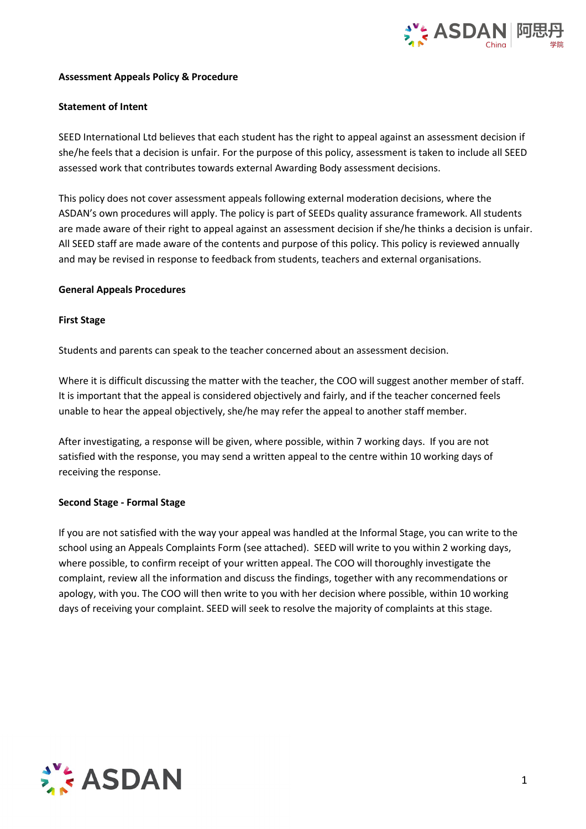

### **Assessment Appeals Policy & Procedure**

### **Statement of Intent**

SEED International Ltd believes that each student has the right to appeal against an assessment decision if she/he feels that a decision is unfair. For the purpose of this policy, assessment is taken to include all SEED assessed work that contributes towards external Awarding Body assessment decisions.

This policy does not cover assessment appeals following external moderation decisions, where the ASDAN's own procedures will apply. The policy is part of SEEDs quality assurance framework. All students are made aware of their right to appeal against an assessment decision if she/he thinks a decision is unfair. All SEED staff are made aware of the contents and purpose of this policy. This policy is reviewed annually and may be revised in response to feedback from students, teachers and external organisations.

### **General Appeals Procedures**

### **First Stage**

Students and parents can speak to the teacher concerned about an assessment decision.

Where it is difficult discussing the matter with the teacher, the COO will suggest another member of staff. It is important that the appeal is considered objectively and fairly, and if the teacher concerned feels unable to hear the appeal objectively, she/he may refer the appeal to anotherstaff member.

After investigating, a response will be given, where possible, within 7 working days. If you are not satisfied with the response, you may send a written appeal to the centre within 10 working days of receiving the response.

#### **Second Stage - Formal Stage**

If you are not satisfied with the way your appeal was handled at the Informal Stage, you can write to the school using an Appeals Complaints Form (see attached). SEED will write to you within 2 working days, where possible, to confirm receipt of your written appeal. The COO will thoroughly investigate the complaint, review all the information and discuss the findings, together with any recommendations or apology, with you. The COO will then write to you with her decision where possible, within 10 working days of receiving your complaint. SEED will seek to resolve the majority of complaints at this stage.

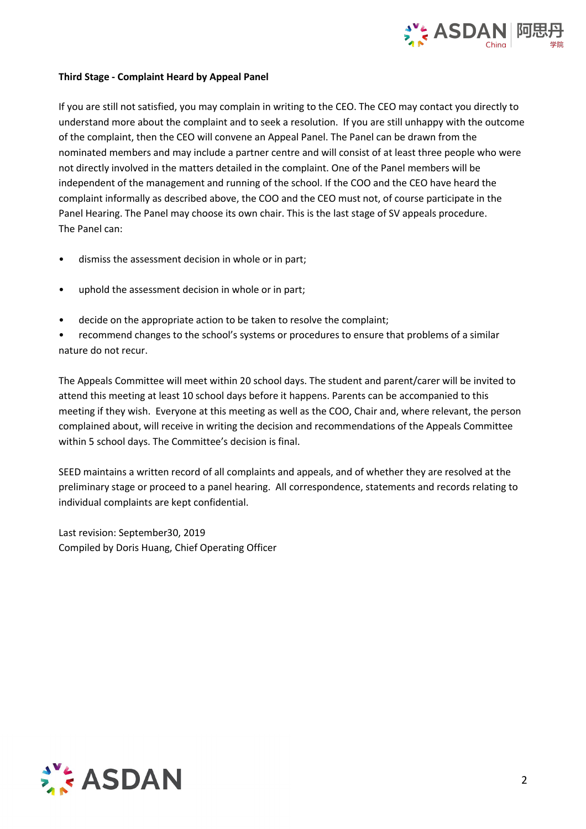

# **Third Stage - Complaint Heard by Appeal Panel**

If you are still not satisfied, you may complain in writing to the CEO. The CEO may contact you directly to understand more about the complaint and to seek a resolution. If you are still unhappy with the outcome of the complaint, then the CEO will convene an Appeal Panel. The Panel can be drawn from the nominated members and may include a partner centre and will consist of at least three people who were not directly involved in the matters detailed in the complaint. One of the Panel members will be independent of the management and running of the school. If the COO and the CEO have heard the complaint informally as described above, the COO and the CEO must not, of course participate in the Panel Hearing. The Panel may choose its own chair. This is the last stage of SV appeals procedure. The Panel can:<br>• dismiss the assessment decision in whole or in part;

- 
- uphold the assessment decision in whole or in part;
- decide on the appropriate action to be taken to resolve the complaint;

• recommend changes to the school's systems or procedures to ensure that problems of a similar nature do not recur.

The Appeals Committee will meet within 20 school days. The student and parent/carer will be invited to attend this meeting at least 10 school days before it happens. Parents can be accompanied to this meeting if they wish. Everyone at this meeting as well as the COO, Chair and, where relevant, the person complained about, will receive in writing the decision and recommendations of the Appeals Committee within 5 school days. The Committee's decision is final.

SEED maintains a written record of all complaints and appeals, and of whether they are resolved at the preliminary stage or proceed to a panel hearing. All correspondence, statements and records relating to individual complaints are kept confidential.

Last revision: September30, 2019 Compiled by Doris Huang, Chief Operating Officer